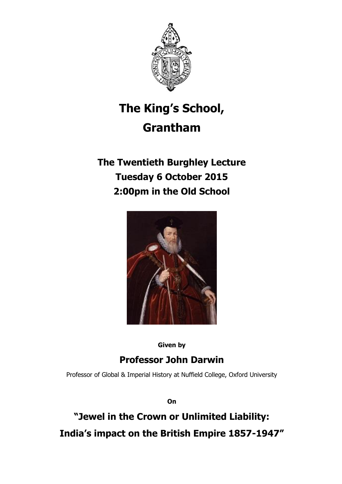

# **The King's School, Grantham**

## **The Twentieth Burghley Lecture Tuesday 6 October 2015 2:00pm in the Old School**



**Given by**

## **Professor John Darwin**

Professor of Global & Imperial History at Nuffield College, Oxford University

**On**

**"Jewel in the Crown or Unlimited Liability: India's impact on the British Empire 1857-1947"**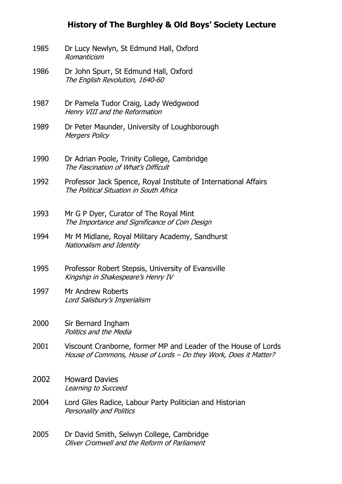#### **History of The Burghley & Old Boys' Society Lecture**

- 1985 Dr Lucy Newlyn, St Edmund Hall, Oxford Romanticism
- 1986 Dr John Spurr, St Edmund Hall, Oxford The English Revolution, 1640-60
- 1987 Dr Pamela Tudor Craig, Lady Wedgwood Henry VIII and the Reformation
- 1989 Dr Peter Maunder, University of Loughborough **Mergers Policy**
- 1990 Dr Adrian Poole, Trinity College, Cambridge The Fascination of What's Difficult
- 1992 Professor Jack Spence, Royal Institute of International Affairs The Political Situation in South Africa
- 1993 Mr G P Dyer, Curator of The Royal Mint The Importance and Significance of Coin Design
- 1994 Mr M Midlane, Royal Military Academy, Sandhurst Nationalism and Identity
- 1995 Professor Robert Stepsis, University of Evansville Kingship in Shakespeare's Henry IV
- 1997 Mr Andrew Roberts Lord Salisbury's Imperialism
- 2000 Sir Bernard Ingham Politics and the Media
- 2001 Viscount Cranborne, former MP and Leader of the House of Lords House of Commons, House of Lords – Do they Work, Does it Matter?
- 2002 Howard Davies Learning to Succeed
- 2004 Lord Giles Radice, Labour Party Politician and Historian Personality and Politics
- 2005 Dr David Smith, Selwyn College, Cambridge Oliver Cromwell and the Reform of Parliament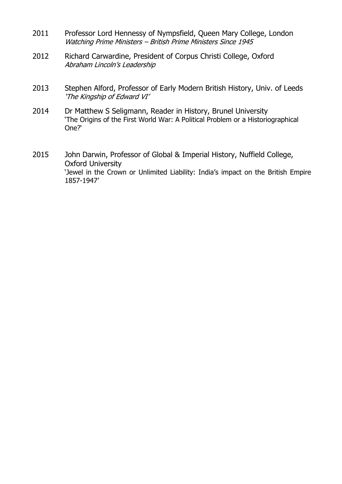- 2011 Professor Lord Hennessy of Nympsfield, Queen Mary College, London Watching Prime Ministers – British Prime Ministers Since 1945
- 2012 Richard Carwardine, President of Corpus Christi College, Oxford Abraham Lincoln's Leadership
- 2013 Stephen Alford, Professor of Early Modern British History, Univ. of Leeds 'The Kingship of Edward VI'
- 2014 Dr Matthew S Seligmann, Reader in History, Brunel University 'The Origins of the First World War: A Political Problem or a Historiographical One?'
- 2015 John Darwin, Professor of Global & Imperial History, Nuffield College, Oxford University 'Jewel in the Crown or Unlimited Liability: India's impact on the British Empire 1857-1947'